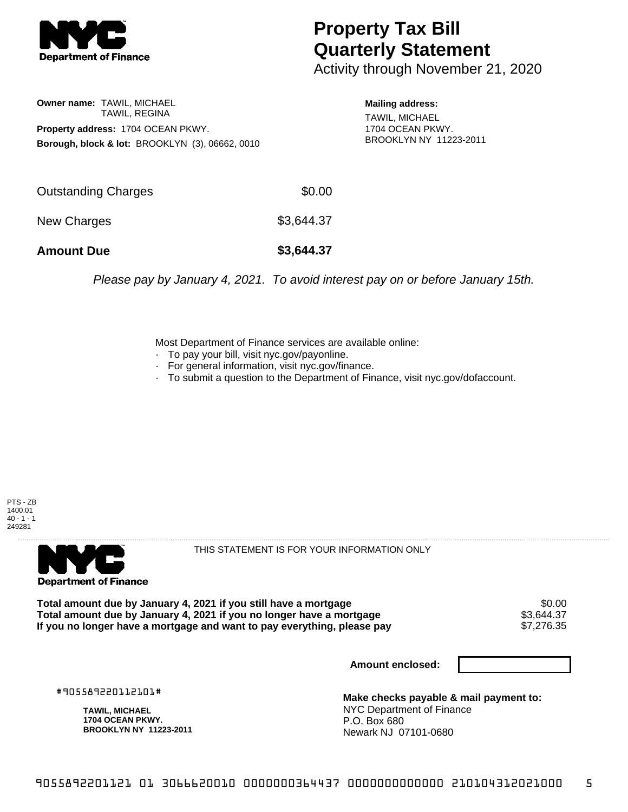

## **Property Tax Bill Quarterly Statement**

Activity through November 21, 2020

**Owner name:** TAWIL, MICHAEL TAWIL, REGINA **Property address:** 1704 OCEAN PKWY. **Borough, block & lot:** BROOKLYN (3), 06662, 0010 **Mailing address:**

TAWIL, MICHAEL 1704 OCEAN PKWY. BROOKLYN NY 11223-2011

| <b>Amount Due</b>   | \$3,644.37 |
|---------------------|------------|
| New Charges         | \$3,644.37 |
| Outstanding Charges | \$0.00     |

Please pay by January 4, 2021. To avoid interest pay on or before January 15th.

Most Department of Finance services are available online:

- · To pay your bill, visit nyc.gov/payonline.
- For general information, visit nyc.gov/finance.
- · To submit a question to the Department of Finance, visit nyc.gov/dofaccount.

PTS - ZB 1400.01  $40 - 1 - 1$ 249281



THIS STATEMENT IS FOR YOUR INFORMATION ONLY

Total amount due by January 4, 2021 if you still have a mortgage **\$0.00** \$0.00<br>Total amount due by January 4, 2021 if you no longer have a mortgage **\$3.644.37 Total amount due by January 4, 2021 if you no longer have a mortgage**  $$3,644.37$$ **<br>If you no longer have a mortgage and want to pay everything, please pay**  $$7,276.35$$ If you no longer have a mortgage and want to pay everything, please pay

**Amount enclosed:**

#905589220112101#

**TAWIL, MICHAEL 1704 OCEAN PKWY. BROOKLYN NY 11223-2011**

**Make checks payable & mail payment to:** NYC Department of Finance P.O. Box 680 Newark NJ 07101-0680